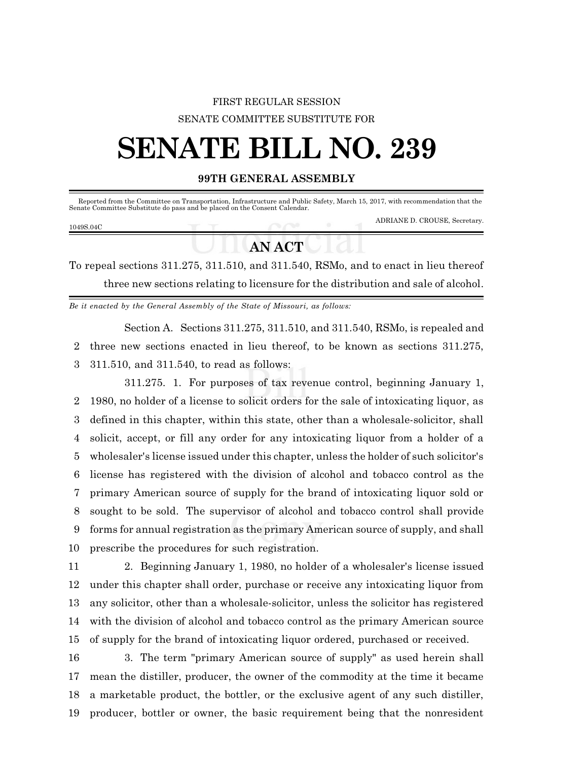### FIRST REGULAR SESSION SENATE COMMITTEE SUBSTITUTE FOR

# **SENATE BILL NO. 239**

#### **99TH GENERAL ASSEMBLY**

Reported from the Committee on Transportation, Infrastructure and Public Safety, March 15, 2017, with recommendation that the Senate Committee Substitute do pass and be placed on the Consent Calendar.

#### 1049S.04C

ADRIANE D. CROUSE, Secretary.

## **AN ACT**

To repeal sections 311.275, 311.510, and 311.540, RSMo, and to enact in lieu thereof three new sections relating to licensure for the distribution and sale of alcohol.

*Be it enacted by the General Assembly of the State of Missouri, as follows:*

Section A. Sections 311.275, 311.510, and 311.540, RSMo, is repealed and three new sections enacted in lieu thereof, to be known as sections 311.275, 311.510, and 311.540, to read as follows:

311.275. 1. For purposes of tax revenue control, beginning January 1, 1980, no holder of a license to solicit orders for the sale of intoxicating liquor, as defined in this chapter, within this state, other than a wholesale-solicitor, shall solicit, accept, or fill any order for any intoxicating liquor from a holder of a wholesaler's license issued under this chapter, unless the holder of such solicitor's license has registered with the division of alcohol and tobacco control as the primary American source of supply for the brand of intoxicating liquor sold or sought to be sold. The supervisor of alcohol and tobacco control shall provide forms for annual registration as the primary American source of supply, and shall prescribe the procedures for such registration.

 2. Beginning January 1, 1980, no holder of a wholesaler's license issued under this chapter shall order, purchase or receive any intoxicating liquor from any solicitor, other than a wholesale-solicitor, unless the solicitor has registered with the division of alcohol and tobacco control as the primary American source of supply for the brand of intoxicating liquor ordered, purchased or received.

 3. The term "primary American source of supply" as used herein shall mean the distiller, producer, the owner of the commodity at the time it became a marketable product, the bottler, or the exclusive agent of any such distiller, producer, bottler or owner, the basic requirement being that the nonresident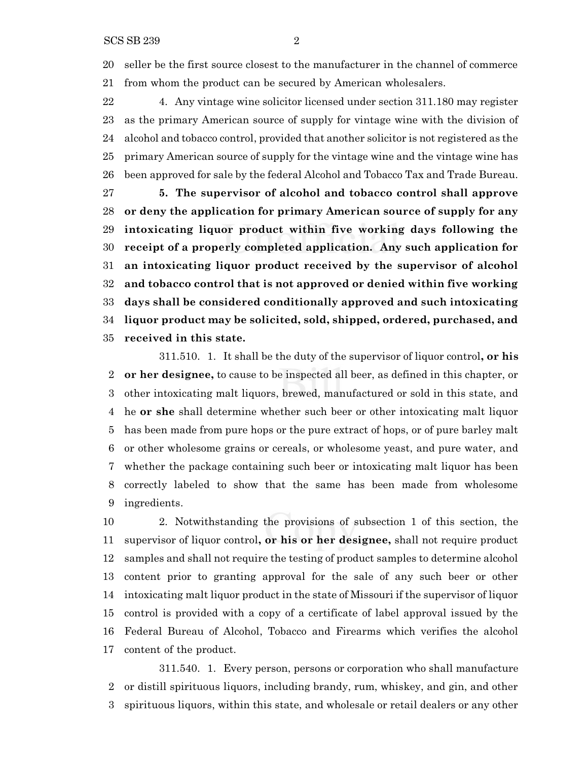seller be the first source closest to the manufacturer in the channel of commerce from whom the product can be secured by American wholesalers.

 4. Any vintage wine solicitor licensed under section 311.180 may register as the primary American source of supply for vintage wine with the division of alcohol and tobacco control, provided that another solicitor is not registered as the primary American source of supply for the vintage wine and the vintage wine has been approved for sale by the federal Alcohol and Tobacco Tax and Trade Bureau.

 **5. The supervisor of alcohol and tobacco control shall approve or deny the application for primary American source of supply for any intoxicating liquor product within five working days following the receipt of a properly completed application. Any such application for an intoxicating liquor product received by the supervisor of alcohol and tobacco control that is not approved or denied within five working days shall be considered conditionally approved and such intoxicating liquor product may be solicited, sold, shipped, ordered, purchased, and received in this state.**

311.510. 1. It shall be the duty of the supervisor of liquor control**, or his or her designee,** to cause to be inspected all beer, as defined in this chapter, or other intoxicating malt liquors, brewed, manufactured or sold in this state, and he **or she** shall determine whether such beer or other intoxicating malt liquor has been made from pure hops or the pure extract of hops, or of pure barley malt or other wholesome grains or cereals, or wholesome yeast, and pure water, and whether the package containing such beer or intoxicating malt liquor has been correctly labeled to show that the same has been made from wholesome ingredients.

 2. Notwithstanding the provisions of subsection 1 of this section, the supervisor of liquor control**, or his or her designee,** shall not require product samples and shall not require the testing of product samples to determine alcohol content prior to granting approval for the sale of any such beer or other intoxicating malt liquor product in the state of Missouri if the supervisor of liquor control is provided with a copy of a certificate of label approval issued by the Federal Bureau of Alcohol, Tobacco and Firearms which verifies the alcohol content of the product.

311.540. 1. Every person, persons or corporation who shall manufacture or distill spirituous liquors, including brandy, rum, whiskey, and gin, and other spirituous liquors, within this state, and wholesale or retail dealers or any other